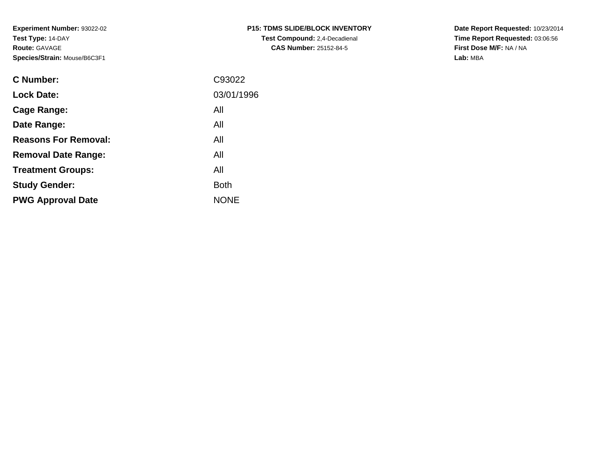**Experiment Number:** 93022-02**Test Type:** 14-DAY**Route:** GAVAGE**Species/Strain:** Mouse/B6C3F1

| <b>P15: TDMS SLIDE/BLOCK INVENTORY</b> |
|----------------------------------------|
| <b>Test Compound:</b> 2,4-Decadienal   |
| <b>CAS Number: 25152-84-5</b>          |

**Date Report Requested:** 10/23/2014 **Time Report Requested:** 03:06:56**First Dose M/F:** NA / NA**Lab:** MBA

| <b>C</b> Number:            | C93022      |
|-----------------------------|-------------|
| <b>Lock Date:</b>           | 03/01/1996  |
| Cage Range:                 | All         |
| Date Range:                 | All         |
| <b>Reasons For Removal:</b> | All         |
| <b>Removal Date Range:</b>  | All         |
| <b>Treatment Groups:</b>    | All         |
| <b>Study Gender:</b>        | <b>Both</b> |
| <b>PWG Approval Date</b>    | <b>NONE</b> |
|                             |             |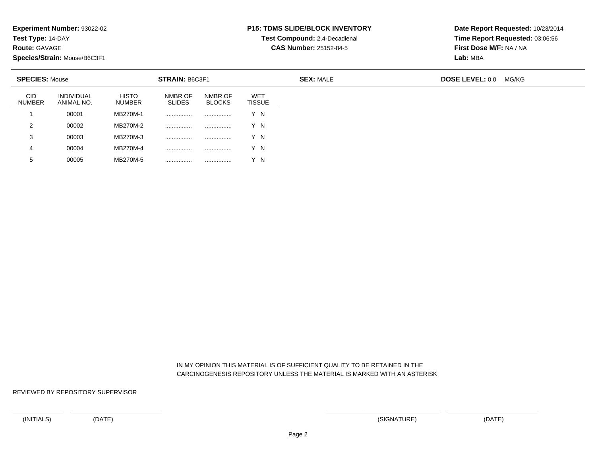**Test Type:** 14-DAY

**Route:** GAVAGE

**Species/Strain:** Mouse/B6C3F1

## **P15: TDMS SLIDE/BLOCK INVENTORY**

**Test Compound:** 2,4-Decadienal

**CAS Number:** 25152-84-5

**Date Report Requested:** 10/23/2014**Time Report Requested:** 03:06:56**First Dose M/F:** NA / NA**Lab:** MBA

|                             | <b>SPECIES: Mouse</b>           |                               | <b>STRAIN: B6C3F1</b>    |                          |                             | <b>SEX: MALE</b> | <b>DOSE LEVEL: 0.0</b> | MG/KG |
|-----------------------------|---------------------------------|-------------------------------|--------------------------|--------------------------|-----------------------------|------------------|------------------------|-------|
| <b>CID</b><br><b>NUMBER</b> | <b>INDIVIDUAL</b><br>ANIMAL NO. | <b>HISTO</b><br><b>NUMBER</b> | NMBR OF<br><b>SLIDES</b> | NMBR OF<br><b>BLOCKS</b> | <b>WET</b><br><b>TISSUE</b> |                  |                        |       |
|                             | 00001                           | MB270M-1                      | .                        |                          | Y N                         |                  |                        |       |
| 2                           | 00002                           | MB270M-2                      |                          |                          | Y N                         |                  |                        |       |
| 3                           | 00003                           | MB270M-3                      |                          |                          | Y N                         |                  |                        |       |
| 4                           | 00004                           | MB270M-4                      |                          |                          | Y N                         |                  |                        |       |
| 5                           | 00005                           | MB270M-5                      | .                        |                          | Y N                         |                  |                        |       |

 IN MY OPINION THIS MATERIAL IS OF SUFFICIENT QUALITY TO BE RETAINED IN THECARCINOGENESIS REPOSITORY UNLESS THE MATERIAL IS MARKED WITH AN ASTERISK

REVIEWED BY REPOSITORY SUPERVISOR

<sup>00005</sup> MB270M-5 ................ ................ Y N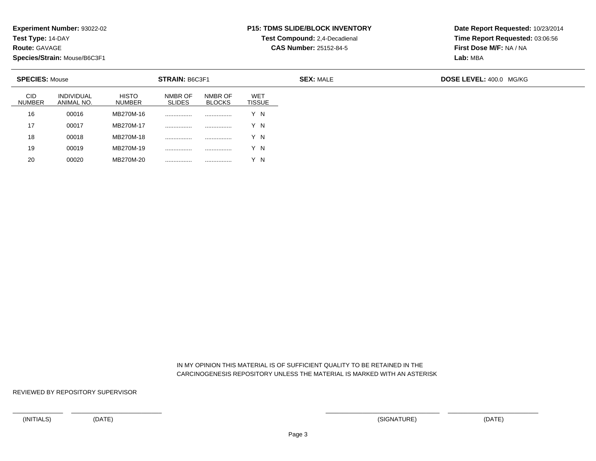**Test Type:** 14-DAY

**Route:** GAVAGE

**Species/Strain:** Mouse/B6C3F1

<sup>00020</sup> MB270M-20 ................ ................ Y N

# **P15: TDMS SLIDE/BLOCK INVENTORY**

**Test Compound:** 2,4-Decadienal

**CAS Number:** 25152-84-5

**Date Report Requested:** 10/23/2014**Time Report Requested:** 03:06:56**First Dose M/F:** NA / NA**Lab:** MBA

| <b>SPECIES: Mouse</b>       |                                 |                               | <b>STRAIN: B6C3F1</b>    |                          |                      | <b>SEX: MALE</b> | <b>DOSE LEVEL: 400.0 MG/KG</b> |
|-----------------------------|---------------------------------|-------------------------------|--------------------------|--------------------------|----------------------|------------------|--------------------------------|
| <b>CID</b><br><b>NUMBER</b> | <b>INDIVIDUAL</b><br>ANIMAL NO. | <b>HISTO</b><br><b>NUMBER</b> | NMBR OF<br><b>SLIDES</b> | NMBR OF<br><b>BLOCKS</b> | WET<br><b>TISSUE</b> |                  |                                |
| 16                          | 00016                           | MB270M-16                     |                          |                          | Y N                  |                  |                                |
| 17                          | 00017                           | MB270M-17                     |                          |                          | Y N                  |                  |                                |
| 18                          | 00018                           | MB270M-18                     |                          |                          | Y N                  |                  |                                |
| 19                          | 00019                           | MB270M-19                     |                          |                          | Y N                  |                  |                                |
| 20                          | 00020                           | MB270M-20                     |                          |                          | Y N                  |                  |                                |

 IN MY OPINION THIS MATERIAL IS OF SUFFICIENT QUALITY TO BE RETAINED IN THECARCINOGENESIS REPOSITORY UNLESS THE MATERIAL IS MARKED WITH AN ASTERISK

REVIEWED BY REPOSITORY SUPERVISOR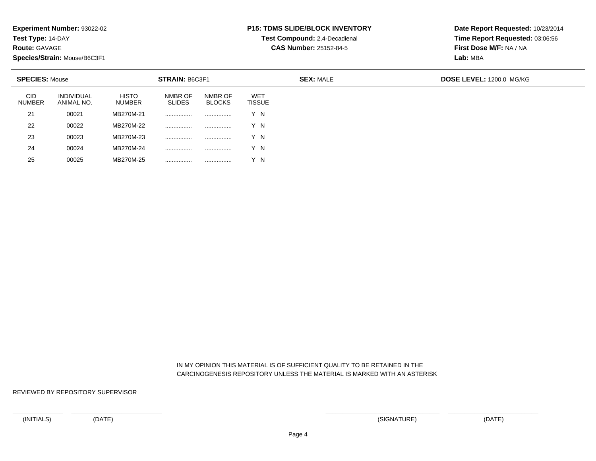**Test Type:** 14-DAY

**Route:** GAVAGE

25

**Species/Strain:** Mouse/B6C3F1

<sup>00025</sup> MB270M-25 ................ ................ Y N

# **P15: TDMS SLIDE/BLOCK INVENTORY**

**Test Compound:** 2,4-Decadienal

**CAS Number:** 25152-84-5

**Date Report Requested:** 10/23/2014**Time Report Requested:** 03:06:56**First Dose M/F:** NA / NA**Lab:** MBA

| <b>SPECIES: Mouse</b>       |                                 |                               | <b>STRAIN: B6C3F1</b>    |                          |                      | <b>SEX: MALE</b> | DOSE LEVEL: 1200.0 MG/KG |
|-----------------------------|---------------------------------|-------------------------------|--------------------------|--------------------------|----------------------|------------------|--------------------------|
| <b>CID</b><br><b>NUMBER</b> | <b>INDIVIDUAL</b><br>ANIMAL NO. | <b>HISTO</b><br><b>NUMBER</b> | NMBR OF<br><b>SLIDES</b> | NMBR OF<br><b>BLOCKS</b> | WET<br><b>TISSUE</b> |                  |                          |
| 21                          | 00021                           | MB270M-21                     |                          | .                        | Y N                  |                  |                          |
| 22                          | 00022                           | MB270M-22                     | .                        | .                        | Y N                  |                  |                          |
| 23                          | 00023                           | MB270M-23                     |                          | .                        | Y N                  |                  |                          |
| 24                          | 00024                           | MB270M-24                     |                          |                          | Y N                  |                  |                          |

 IN MY OPINION THIS MATERIAL IS OF SUFFICIENT QUALITY TO BE RETAINED IN THECARCINOGENESIS REPOSITORY UNLESS THE MATERIAL IS MARKED WITH AN ASTERISK

REVIEWED BY REPOSITORY SUPERVISOR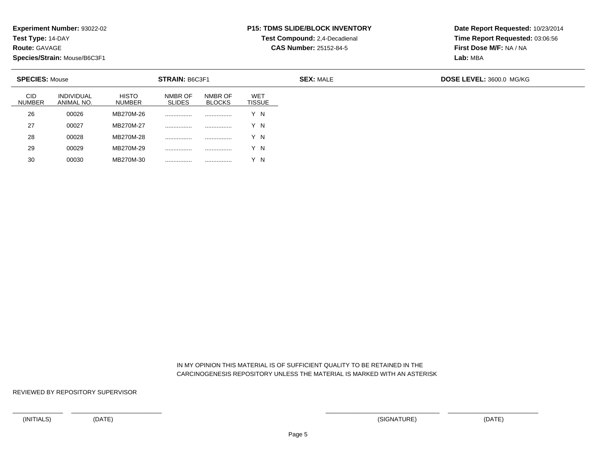**Test Type:** 14-DAY

**Route:** GAVAGE

30

**Species/Strain:** Mouse/B6C3F1

<sup>00030</sup> MB270M-30 ................ ................ Y N

# **P15: TDMS SLIDE/BLOCK INVENTORY**

**Test Compound:** 2,4-Decadienal **CAS Number:** 25152-84-5

**Date Report Requested:** 10/23/2014**Time Report Requested:** 03:06:56**First Dose M/F:** NA / NA**Lab:** MBA

| <b>SPECIES: Mouse</b>       |                          |                               | <b>STRAIN: B6C3F1</b>    |                          |                             | <b>SEX: MALE</b> | DOSE LEVEL: 3600.0 MG/KG |
|-----------------------------|--------------------------|-------------------------------|--------------------------|--------------------------|-----------------------------|------------------|--------------------------|
| <b>CID</b><br><b>NUMBER</b> | INDIVIDUAL<br>ANIMAL NO. | <b>HISTO</b><br><b>NUMBER</b> | NMBR OF<br><b>SLIDES</b> | NMBR OF<br><b>BLOCKS</b> | <b>WET</b><br><b>TISSUE</b> |                  |                          |
| 26                          | 00026                    | MB270M-26                     | .                        | .                        | Y N                         |                  |                          |
| 27                          | 00027                    | MB270M-27                     |                          | .                        | Y N                         |                  |                          |
| 28                          | 00028                    | MB270M-28                     |                          | .                        | Y N                         |                  |                          |
| 29                          | 00029                    | MB270M-29                     |                          |                          | Y N                         |                  |                          |

 IN MY OPINION THIS MATERIAL IS OF SUFFICIENT QUALITY TO BE RETAINED IN THECARCINOGENESIS REPOSITORY UNLESS THE MATERIAL IS MARKED WITH AN ASTERISK

REVIEWED BY REPOSITORY SUPERVISOR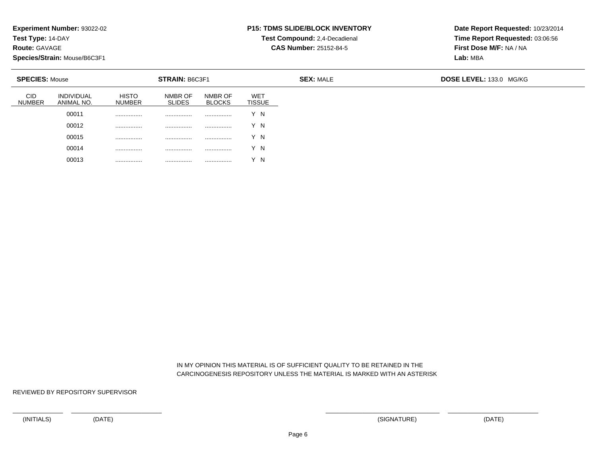**Test Type:** 14-DAY

**Route:** GAVAGE

**Species/Strain:** Mouse/B6C3F1

## **P15: TDMS SLIDE/BLOCK INVENTORY**

**Test Compound:** 2,4-Decadienal **CAS Number:** 25152-84-5

**Date Report Requested:** 10/23/2014**Time Report Requested:** 03:06:56**First Dose M/F:** NA / NA**Lab:** MBA

| <b>SPECIES: Mouse</b>       |                                 |                               | <b>STRAIN: B6C3F1</b>    |                          |                      | <b>SEX: MALE</b> | DOSE LEVEL: 133.0 MG/KG |
|-----------------------------|---------------------------------|-------------------------------|--------------------------|--------------------------|----------------------|------------------|-------------------------|
| <b>CID</b><br><b>NUMBER</b> | <b>INDIVIDUAL</b><br>ANIMAL NO. | <b>HISTO</b><br><b>NUMBER</b> | NMBR OF<br><b>SLIDES</b> | NMBR OF<br><b>BLOCKS</b> | <b>WET</b><br>TISSUE |                  |                         |
|                             | 00011                           |                               | .                        |                          | Y N                  |                  |                         |
|                             | 00012                           |                               |                          |                          | Y N                  |                  |                         |
|                             | 00015                           |                               |                          |                          | Y N                  |                  |                         |
|                             | 00014                           |                               |                          | .                        | Y N                  |                  |                         |
|                             | 00013                           |                               | .                        |                          | $\sqrt{}$<br>΄N      |                  |                         |

 IN MY OPINION THIS MATERIAL IS OF SUFFICIENT QUALITY TO BE RETAINED IN THECARCINOGENESIS REPOSITORY UNLESS THE MATERIAL IS MARKED WITH AN ASTERISK

REVIEWED BY REPOSITORY SUPERVISOR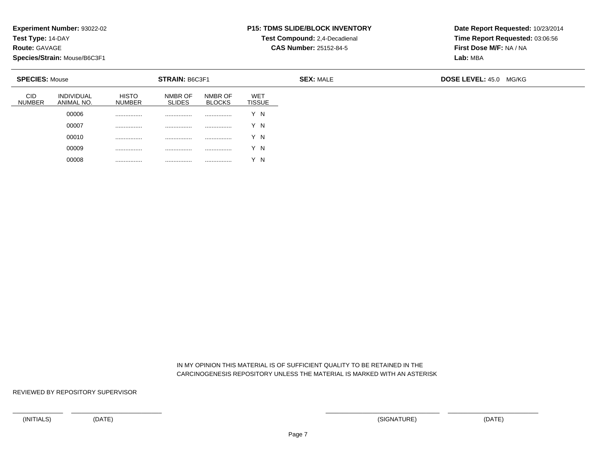**Test Type:** 14-DAY

**Route:** GAVAGE

**Species/Strain:** Mouse/B6C3F1

## **P15: TDMS SLIDE/BLOCK INVENTORY**

**Test Compound:** 2,4-Decadienal

**CAS Number:** 25152-84-5

**Date Report Requested:** 10/23/2014**Time Report Requested:** 03:06:56**First Dose M/F:** NA / NA**Lab:** MBA

| <b>SPECIES: Mouse</b>           |                               | STRAIN: B6C3F1           |                          |                             | <b>SEX: MALE</b> | <b>DOSE LEVEL: 45.0</b><br>MG/KG |
|---------------------------------|-------------------------------|--------------------------|--------------------------|-----------------------------|------------------|----------------------------------|
| <b>INDIVIDUAL</b><br>ANIMAL NO. | <b>HISTO</b><br><b>NUMBER</b> | NMBR OF<br><b>SLIDES</b> | NMBR OF<br><b>BLOCKS</b> | <b>WET</b><br><b>TISSUE</b> |                  |                                  |
| 00006                           |                               |                          | .                        | Y N                         |                  |                                  |
| 00007                           |                               |                          | .                        | Y N                         |                  |                                  |
| 00010                           |                               |                          | .                        | Y N                         |                  |                                  |
| 00009                           |                               | .                        | .                        | Y N                         |                  |                                  |
| 00008                           |                               | .                        | .                        | ΄N                          |                  |                                  |

 IN MY OPINION THIS MATERIAL IS OF SUFFICIENT QUALITY TO BE RETAINED IN THECARCINOGENESIS REPOSITORY UNLESS THE MATERIAL IS MARKED WITH AN ASTERISK

REVIEWED BY REPOSITORY SUPERVISOR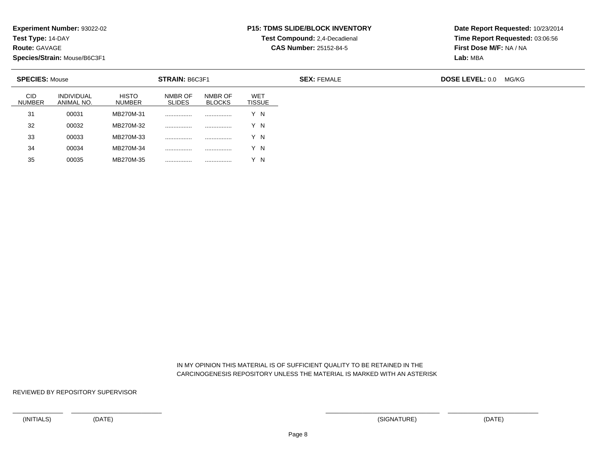**Test Type:** 14-DAY

**Route:** GAVAGE

35

**Species/Strain:** Mouse/B6C3F1

<sup>00035</sup> MB270M-35 ................ ................ Y N

#### **P15: TDMS SLIDE/BLOCK INVENTORY**

**Test Compound:** 2,4-Decadienal

**CAS Number:** 25152-84-5

**Date Report Requested:** 10/23/2014**Time Report Requested:** 03:06:56**First Dose M/F:** NA / NA**Lab:** MBA

| <b>SPECIES: Mouse</b> |                                 |                               | <b>STRAIN: B6C3F1</b>    |                          |                      | <b>SEX: FEMALE</b> | <b>DOSE LEVEL: 0.0</b> | MG/KG |
|-----------------------|---------------------------------|-------------------------------|--------------------------|--------------------------|----------------------|--------------------|------------------------|-------|
| <b>CID</b><br>NUMBER  | <b>INDIVIDUAL</b><br>ANIMAL NO. | <b>HISTO</b><br><b>NUMBER</b> | NMBR OF<br><b>SLIDES</b> | NMBR OF<br><b>BLOCKS</b> | <b>WET</b><br>TISSUE |                    |                        |       |
| 31                    | 00031                           | MB270M-31                     |                          | .                        | Y N                  |                    |                        |       |
| 32                    | 00032                           | MB270M-32                     | .                        | .                        | Y N                  |                    |                        |       |
| 33                    | 00033                           | MB270M-33                     |                          | .                        | Y N                  |                    |                        |       |
| 34                    | 00034                           | MB270M-34                     | .                        | .                        | 'N                   |                    |                        |       |

 IN MY OPINION THIS MATERIAL IS OF SUFFICIENT QUALITY TO BE RETAINED IN THECARCINOGENESIS REPOSITORY UNLESS THE MATERIAL IS MARKED WITH AN ASTERISK

REVIEWED BY REPOSITORY SUPERVISOR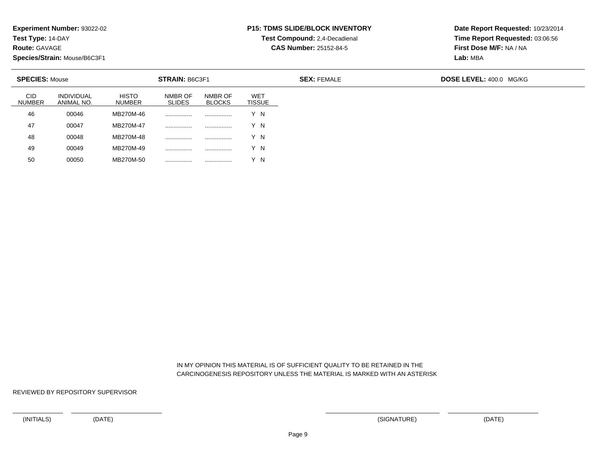**Test Type:** 14-DAY

**Route:** GAVAGE

50

**Species/Strain:** Mouse/B6C3F1

<sup>00050</sup> MB270M-50 ................ ................ Y N

## **P15: TDMS SLIDE/BLOCK INVENTORY**

**Test Compound:** 2,4-Decadienal **CAS Number:** 25152-84-5

**Date Report Requested:** 10/23/2014**Time Report Requested:** 03:06:56**First Dose M/F:** NA / NA**Lab:** MBA

| <b>SPECIES: Mouse</b>       |                                 |                               |                          |                          |                             |
|-----------------------------|---------------------------------|-------------------------------|--------------------------|--------------------------|-----------------------------|
| <b>CID</b><br><b>NUMBER</b> | <b>INDIVIDUAL</b><br>ANIMAL NO. | <b>HISTO</b><br><b>NUMBER</b> | NMBR OF<br><b>SLIDES</b> | NMBR OF<br><b>BLOCKS</b> | <b>WET</b><br><b>TISSUE</b> |
| 46                          | 00046                           | MB270M-46                     | .                        | .                        | Y N                         |
| 47                          | 00047                           | MB270M-47                     |                          | .                        | Y N                         |
| 48                          | 00048                           | MB270M-48                     |                          |                          | Y N                         |
| 49                          | 00049                           | MB270M-49                     |                          |                          | Y N                         |

 IN MY OPINION THIS MATERIAL IS OF SUFFICIENT QUALITY TO BE RETAINED IN THECARCINOGENESIS REPOSITORY UNLESS THE MATERIAL IS MARKED WITH AN ASTERISK

REVIEWED BY REPOSITORY SUPERVISOR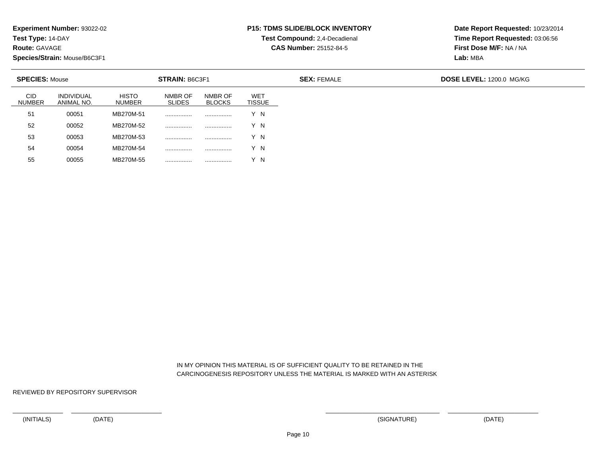**Test Type:** 14-DAY

**Route:** GAVAGE

**Species/Strain:** Mouse/B6C3F1

<sup>00055</sup> MB270M-55 ................ ................ Y N

## **P15: TDMS SLIDE/BLOCK INVENTORY**

**Test Compound:** 2,4-Decadienal

**CAS Number:** 25152-84-5

**Date Report Requested:** 10/23/2014**Time Report Requested:** 03:06:56**First Dose M/F:** NA / NA**Lab:** MBA

| <b>SPECIES: Mouse</b>       |                                 |                               | STRAIN: B6C3F1           |                          |                             | <b>SEX: FEMALE</b> | DOSE LEVEL: 1200.0 MG/KG |
|-----------------------------|---------------------------------|-------------------------------|--------------------------|--------------------------|-----------------------------|--------------------|--------------------------|
| <b>CID</b><br><b>NUMBER</b> | <b>INDIVIDUAL</b><br>ANIMAL NO. | <b>HISTO</b><br><b>NUMBER</b> | NMBR OF<br><b>SLIDES</b> | NMBR OF<br><b>BLOCKS</b> | <b>WET</b><br><b>TISSUE</b> |                    |                          |
| 51                          | 00051                           | MB270M-51                     |                          |                          | Y N                         |                    |                          |
| 52                          | 00052                           | MB270M-52                     |                          |                          | Y N                         |                    |                          |
| 53                          | 00053                           | MB270M-53                     |                          |                          | Y N                         |                    |                          |
| 54                          | 00054                           | MB270M-54                     |                          |                          | Y N                         |                    |                          |
| 55                          | 00055                           | MB270M-55                     | .                        | .                        | Y N                         |                    |                          |

 IN MY OPINION THIS MATERIAL IS OF SUFFICIENT QUALITY TO BE RETAINED IN THECARCINOGENESIS REPOSITORY UNLESS THE MATERIAL IS MARKED WITH AN ASTERISK

REVIEWED BY REPOSITORY SUPERVISOR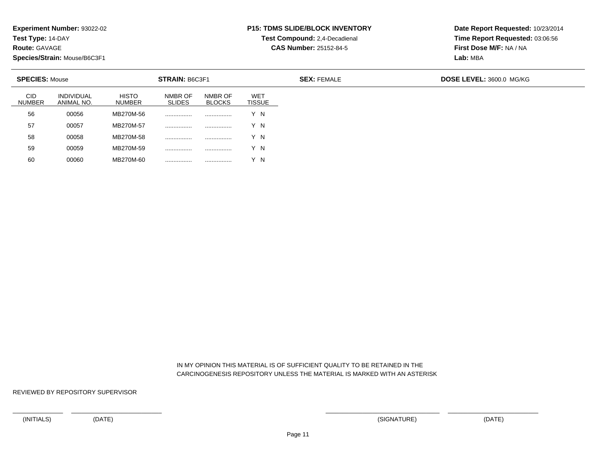**Test Type:** 14-DAY

**Route:** GAVAGE

**Species/Strain:** Mouse/B6C3F1

<sup>00060</sup> MB270M-60 ................ ................ Y N

## **P15: TDMS SLIDE/BLOCK INVENTORY**

**Test Compound:** 2,4-Decadienal

**CAS Number:** 25152-84-5

**Date Report Requested:** 10/23/2014**Time Report Requested:** 03:06:56**First Dose M/F:** NA / NA**Lab:** MBA

| <b>SPECIES: Mouse</b>       |                                 |                               | STRAIN: B6C3F1           |                          |                             | <b>SEX: FEMALE</b> | DOSE LEVEL: 3600.0 MG/KG |
|-----------------------------|---------------------------------|-------------------------------|--------------------------|--------------------------|-----------------------------|--------------------|--------------------------|
| <b>CID</b><br><b>NUMBER</b> | <b>INDIVIDUAL</b><br>ANIMAL NO. | <b>HISTO</b><br><b>NUMBER</b> | NMBR OF<br><b>SLIDES</b> | NMBR OF<br><b>BLOCKS</b> | <b>WET</b><br><b>TISSUE</b> |                    |                          |
| 56                          | 00056                           | MB270M-56                     |                          |                          | Y N                         |                    |                          |
| 57                          | 00057                           | MB270M-57                     |                          |                          | Y N                         |                    |                          |
| 58                          | 00058                           | MB270M-58                     |                          |                          | Y N                         |                    |                          |
| 59                          | 00059                           | MB270M-59                     |                          |                          | Y N                         |                    |                          |
| 60                          | 00060                           | MB270M-60                     | .                        | .                        | Y N                         |                    |                          |

 IN MY OPINION THIS MATERIAL IS OF SUFFICIENT QUALITY TO BE RETAINED IN THECARCINOGENESIS REPOSITORY UNLESS THE MATERIAL IS MARKED WITH AN ASTERISK

REVIEWED BY REPOSITORY SUPERVISOR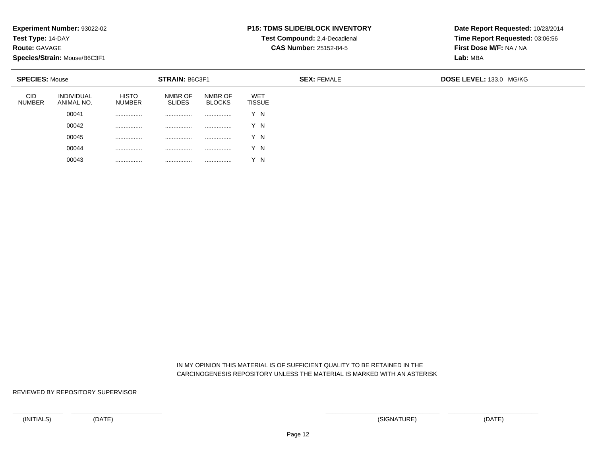**Test Type:** 14-DAY

**Route:** GAVAGE

**Species/Strain:** Mouse/B6C3F1

## **P15: TDMS SLIDE/BLOCK INVENTORY**

**Test Compound:** 2,4-Decadienal

**CAS Number:** 25152-84-5

**Date Report Requested:** 10/23/2014**Time Report Requested:** 03:06:56**First Dose M/F:** NA / NA**Lab:** MBA

| <b>SPECIES: Mouse</b> |                                 |                               | <b>STRAIN: B6C3F1</b>    |                          | <b>SEX: FEMALE</b>          |  | DOSE LEVEL: 133.0 MG/KG |
|-----------------------|---------------------------------|-------------------------------|--------------------------|--------------------------|-----------------------------|--|-------------------------|
| CID<br><b>NUMBER</b>  | <b>INDIVIDUAL</b><br>ANIMAL NO. | <b>HISTO</b><br><b>NUMBER</b> | NMBR OF<br><b>SLIDES</b> | NMBR OF<br><b>BLOCKS</b> | <b>WET</b><br><b>TISSUE</b> |  |                         |
|                       | 00041                           |                               |                          |                          | Y N                         |  |                         |
|                       | 00042                           |                               |                          |                          | Y N                         |  |                         |
|                       | 00045                           |                               |                          |                          | Y N                         |  |                         |
|                       | 00044                           |                               | .                        |                          | Y N                         |  |                         |
|                       | 00043                           |                               |                          | .                        | $\sqrt{}$<br>$\mathsf{N}$   |  |                         |

 IN MY OPINION THIS MATERIAL IS OF SUFFICIENT QUALITY TO BE RETAINED IN THECARCINOGENESIS REPOSITORY UNLESS THE MATERIAL IS MARKED WITH AN ASTERISK

REVIEWED BY REPOSITORY SUPERVISOR